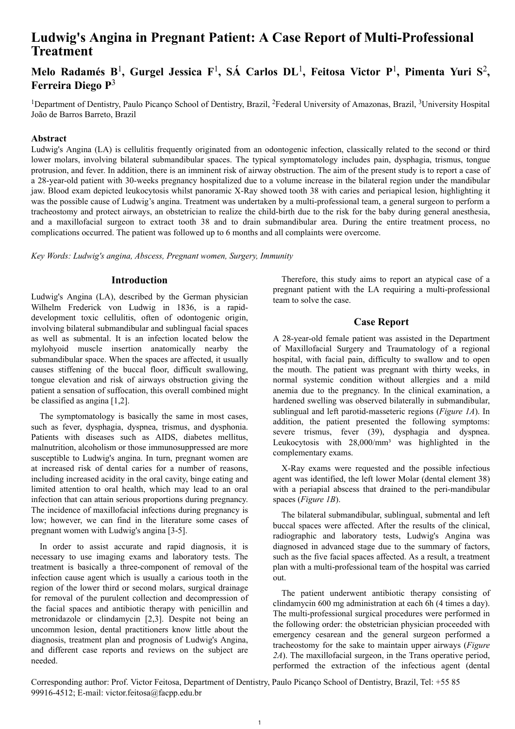# **Ludwig's Angina in Pregnant Patient: A Case Report of Multi-Professional Treatment**

# **Melo Radamés B**<sup>1</sup> **, Gurgel Jessica F**<sup>1</sup> **, SÁ Carlos DL**<sup>1</sup> **, Feitosa Victor P**<sup>1</sup> **, Pimenta Yuri S**<sup>2</sup> **, Ferreira Diego P**<sup>3</sup>

<sup>1</sup>Department of Dentistry, Paulo Picanco School of Dentistry, Brazil, <sup>2</sup>Federal University of Amazonas, Brazil, <sup>3</sup>University Hospital João de Barros Barreto, Brazil

## **Abstract**

Ludwig's Angina (LA) is cellulitis frequently originated from an odontogenic infection, classically related to the second or third lower molars, involving bilateral submandibular spaces. The typical symptomatology includes pain, dysphagia, trismus, tongue protrusion, and fever. In addition, there is an imminent risk of airway obstruction. The aim of the present study is to report a case of a 28-year-old patient with 30-weeks pregnancy hospitalized due to a volume increase in the bilateral region under the mandibular jaw. Blood exam depicted leukocytosis whilst panoramic X-Ray showed tooth 38 with caries and periapical lesion, highlighting it was the possible cause of Ludwig's angina. Treatment was undertaken by a multi-professional team, a general surgeon to perform a tracheostomy and protect airways, an obstetrician to realize the child-birth due to the risk for the baby during general anesthesia, and a maxillofacial surgeon to extract tooth 38 and to drain submandibular area. During the entire treatment process, no complications occurred. The patient was followed up to 6 months and all complaints were overcome.

*Key Words: Ludwig's angina, Abscess, Pregnant women, Surgery, Immunity*

# **Introduction**

Ludwig's Angina (LA), described by the German physician Wilhelm Frederick von Ludwig in 1836, is a rapiddevelopment toxic cellulitis, often of odontogenic origin, involving bilateral submandibular and sublingual facial spaces as well as submental. It is an infection located below the mylohyoid muscle insertion anatomically nearby the submandibular space. When the spaces are affected, it usually causes stiffening of the buccal floor, difficult swallowing, tongue elevation and risk of airways obstruction giving the patient a sensation of suffocation, this overall combined might be classified as angina [1,2].

The symptomatology is basically the same in most cases, such as fever, dysphagia, dyspnea, trismus, and dysphonia. Patients with diseases such as AIDS, diabetes mellitus, malnutrition, alcoholism or those immunosuppressed are more susceptible to Ludwig's angina. In turn, pregnant women are at increased risk of dental caries for a number of reasons, including increased acidity in the oral cavity, binge eating and limited attention to oral health, which may lead to an oral infection that can attain serious proportions during pregnancy. The incidence of maxillofacial infections during pregnancy is low; however, we can find in the literature some cases of pregnant women with Ludwig's angina [3-5].

In order to assist accurate and rapid diagnosis, it is necessary to use imaging exams and laboratory tests. The treatment is basically a three-component of removal of the infection cause agent which is usually a carious tooth in the region of the lower third or second molars, surgical drainage for removal of the purulent collection and decompression of the facial spaces and antibiotic therapy with penicillin and metronidazole or clindamycin [2,3]. Despite not being an uncommon lesion, dental practitioners know little about the diagnosis, treatment plan and prognosis of Ludwig's Angina, and different case reports and reviews on the subject are needed.

Therefore, this study aims to report an atypical case of a pregnant patient with the LA requiring a multi-professional team to solve the case.

# **Case Report**

A 28-year-old female patient was assisted in the Department of Maxillofacial Surgery and Traumatology of a regional hospital, with facial pain, difficulty to swallow and to open the mouth. The patient was pregnant with thirty weeks, in normal systemic condition without allergies and a mild anemia due to the pregnancy. In the clinical examination, a hardened swelling was observed bilaterally in submandibular, sublingual and left parotid-masseteric regions (*Figure 1A*). In addition, the patient presented the following symptoms: severe trismus, fever (39), dysphagia and dyspnea. Leukocytosis with 28,000/mm<sup>3</sup> was highlighted in the complementary exams.

X-Ray exams were requested and the possible infectious agent was identified, the left lower Molar (dental element 38) with a periapial abscess that drained to the peri-mandibular spaces (*Figure 1B*).

The bilateral submandibular, sublingual, submental and left buccal spaces were affected. After the results of the clinical, radiographic and laboratory tests, Ludwig's Angina was diagnosed in advanced stage due to the summary of factors, such as the five facial spaces affected. As a result, a treatment plan with a multi-professional team of the hospital was carried out.

The patient underwent antibiotic therapy consisting of clindamycin 600 mg administration at each 6h (4 times a day). The multi-professional surgical procedures were performed in the following order: the obstetrician physician proceeded with emergency cesarean and the general surgeon performed a tracheostomy for the sake to maintain upper airways (*Figure 2A*). The maxillofacial surgeon, in the Trans operative period, performed the extraction of the infectious agent (dental

Corresponding author: Prof. Victor Feitosa, Department of Dentistry, Paulo Picanço School of Dentistry, Brazil, Tel: +55 85 99916-4512; E-mail: victor.feitosa@facpp.edu.br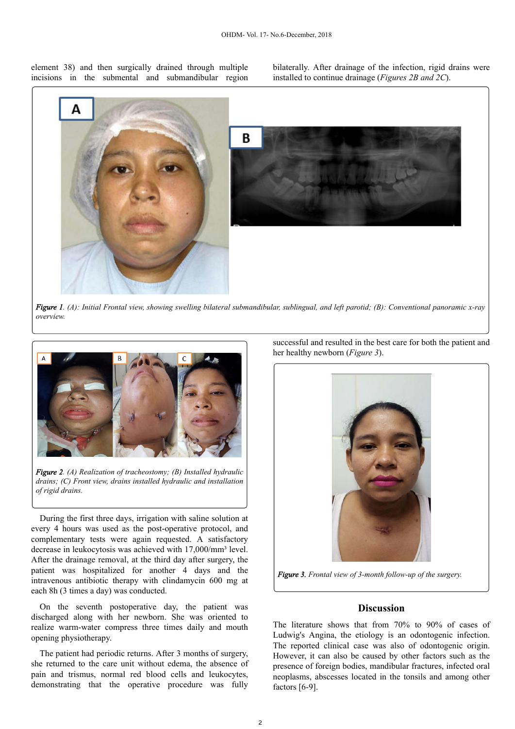element 38) and then surgically drained through multiple incisions in the submental and submandibular region bilaterally. After drainage of the infection, rigid drains were installed to continue drainage (*Figures 2B and 2C*).



*Figure 1. (A): Initial Frontal view, showing swelling bilateral submandibular, sublingual, and left parotid; (B): Conventional panoramic x-ray overview.*



*Figure 2. (A) Realization of tracheostomy; (B) Installed hydraulic drains; (C) Front view, drains installed hydraulic and installation of rigid drains.*

During the first three days, irrigation with saline solution at every 4 hours was used as the post-operative protocol, and complementary tests were again requested. A satisfactory decrease in leukocytosis was achieved with 17,000/mm<sup>3</sup> level. After the drainage removal, at the third day after surgery, the patient was hospitalized for another 4 days and the intravenous antibiotic therapy with clindamycin 600 mg at each 8h (3 times a day) was conducted.

On the seventh postoperative day, the patient was discharged along with her newborn. She was oriented to realize warm-water compress three times daily and mouth opening physiotherapy.

The patient had periodic returns. After 3 months of surgery, she returned to the care unit without edema, the absence of pain and trismus, normal red blood cells and leukocytes, demonstrating that the operative procedure was fully

successful and resulted in the best care for both the patient and her healthy newborn (*Figure 3*).



*Figure 3. Frontal view of 3-month follow-up of the surgery.*

## **Discussion**

The literature shows that from 70% to 90% of cases of Ludwig's Angina, the etiology is an odontogenic infection. The reported clinical case was also of odontogenic origin. However, it can also be caused by other factors such as the presence of foreign bodies, mandibular fractures, infected oral neoplasms, abscesses located in the tonsils and among other factors [6-9].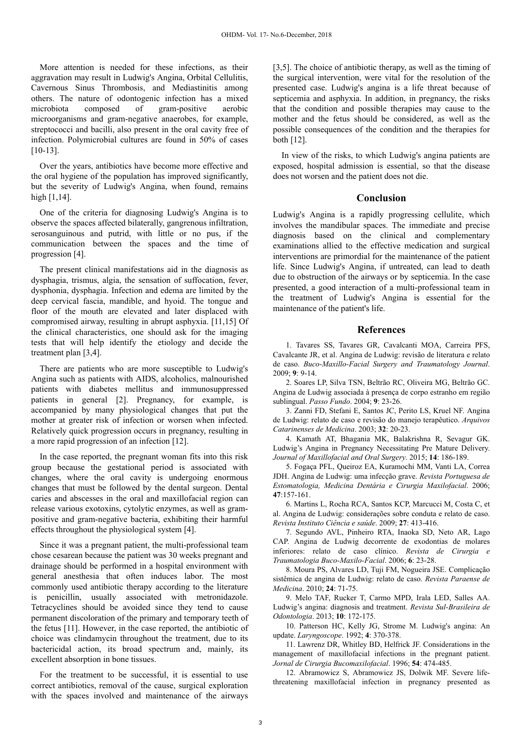More attention is needed for these infections, as their aggravation may result in Ludwig's Angina, Orbital Cellulitis, Cavernous Sinus Thrombosis, and Mediastinitis among others. The nature of odontogenic infection has a mixed microbiota composed of gram-positive aerobic microorganisms and gram-negative anaerobes, for example, streptococci and bacilli, also present in the oral cavity free of infection. Polymicrobial cultures are found in 50% of cases [10-13].

Over the years, antibiotics have become more effective and the oral hygiene of the population has improved significantly, but the severity of Ludwig's Angina, when found, remains high [1,14].

One of the criteria for diagnosing Ludwig's Angina is to observe the spaces affected bilaterally, gangrenous infiltration, serosanguinous and putrid, with little or no pus, if the communication between the spaces and the time of progression [4].

The present clinical manifestations aid in the diagnosis as dysphagia, trismus, algia, the sensation of suffocation, fever, dysphonia, dysphagia. Infection and edema are limited by the deep cervical fascia, mandible, and hyoid. The tongue and floor of the mouth are elevated and later displaced with compromised airway, resulting in abrupt asphyxia. [11,15] Of the clinical characteristics, one should ask for the imaging tests that will help identify the etiology and decide the treatment plan [3,4].

There are patients who are more susceptible to Ludwig's Angina such as patients with AIDS, alcoholics, malnourished patients with diabetes mellitus and immunosuppressed patients in general [2]. Pregnancy, for example, is accompanied by many physiological changes that put the mother at greater risk of infection or worsen when infected. Relatively quick progression occurs in pregnancy, resulting in a more rapid progression of an infection [12].

In the case reported, the pregnant woman fits into this risk group because the gestational period is associated with changes, where the oral cavity is undergoing enormous changes that must be followed by the dental surgeon. Dental caries and abscesses in the oral and maxillofacial region can release various exotoxins, cytolytic enzymes, as well as grampositive and gram-negative bacteria, exhibiting their harmful effects throughout the physiological system [4].

Since it was a pregnant patient, the multi-professional team chose cesarean because the patient was 30 weeks pregnant and drainage should be performed in a hospital environment with general anesthesia that often induces labor. The most commonly used antibiotic therapy according to the literature is penicillin, usually associated with metronidazole. Tetracyclines should be avoided since they tend to cause permanent discoloration of the primary and temporary teeth of the fetus [11]. However, in the case reported, the antibiotic of choice was clindamycin throughout the treatment, due to its bactericidal action, its broad spectrum and, mainly, its excellent absorption in bone tissues.

For the treatment to be successful, it is essential to use correct antibiotics, removal of the cause, surgical exploration with the spaces involved and maintenance of the airways

[3,5]. The choice of antibiotic therapy, as well as the timing of the surgical intervention, were vital for the resolution of the presented case. Ludwig's angina is a life threat because of septicemia and asphyxia. In addition, in pregnancy, the risks that the condition and possible therapies may cause to the mother and the fetus should be considered, as well as the possible consequences of the condition and the therapies for both [12].

In view of the risks, to which Ludwig's angina patients are exposed, hospital admission is essential, so that the disease does not worsen and the patient does not die.

#### **Conclusion**

Ludwig's Angina is a rapidly progressing cellulite, which involves the mandibular spaces. The immediate and precise diagnosis based on the clinical and complementary examinations allied to the effective medication and surgical interventions are primordial for the maintenance of the patient life. Since Ludwig's Angina, if untreated, can lead to death due to obstruction of the airways or by septicemia. In the case presented, a good interaction of a multi-professional team in the treatment of Ludwig's Angina is essential for the maintenance of the patient's life.

#### **References**

1. Tavares SS, Tavares GR, Cavalcanti MOA, Carreira PFS, Cavalcante JR, et al. Angina de Ludwig: revisão de literatura e relato de caso. *Buco-Maxillo-Facial Surgery and Traumatology Journal*. 2009; **9**: 9-14.

2. Soares LP, Silva TSN, Beltrão RC, Oliveira MG, Beltrão GC. Angina de Ludwig associada à presença de corpo estranho em região sublingual. *Passo Fundo*. 2004; **9**: 23-26.

3. Zanni FD, Stefani E, Santos JC, Perito LS, Kruel NF. Angina de Ludwig: relato de caso e revisão do manejo terapêutico. *Arquivos Catarinenses de Medicina*. 2003; **32**: 20-23.

4. Kamath AT, Bhagania MK, Balakrishna R, Sevagur GK. Ludwig's Angina in Pregnancy Necessitating Pre Mature Delivery. *Journal of Maxillofacial and Oral Surgery*. 2015; **14**: 186-189.

5. Fogaça PFL, Queiroz EA, Kuramochi MM, Vanti LA, Correa JDH. Angina de Ludwig: uma infecção grave. *Revista Portuguesa de Estomatologia, Medicina Dentária e Cirurgia Maxilofacial*. 2006; **47**:157-161.

6. Martins L, Rocha RCA, Santos KCP, Marcucci M, Costa C, et al. Angina de Ludwig: considerações sobre conduta e relato de caso. *Revista Instituto Ciência e saúde*. 2009; **27**: 413-416.

7. Segundo AVL, Pinheiro RTA, Inaoka SD, Neto AR, Lago CAP. Angina de Ludwig decorrente de exodontias de molares inferiores: relato de caso clínico. *Revista de Cirurgia e Traumatologia Buco-Maxilo-Facial*. 2006; **6**: 23-28.

8. Moura PS, Alvares LD, Tuji FM, Nogueira JSE. Complicação sistêmica de angina de Ludwig: relato de caso. *Revista Paraense de Medicina*. 2010; **24**: 71-75.

9. Melo TAF, Rucker T, Carmo MPD, Irala LED, Salles AA. Ludwig's angina: diagnosis and treatment. *Revista Sul-Brasileira de Odontologia*. 2013; **10**: 172-175.

10. Patterson HC, Kelly JG, Strome M. Ludwig's angina: An update. *Laryngoscope*. 1992; **4**: 370-378.

11. Lawrenz DR, Whitley BD, Helfrick JF. Considerations in the management of maxillofacial infections in the pregnant patient. *Jornal de Cirurgia Bucomaxilofacial*. 1996; **54**: 474-485.

12. Abramowicz S, Abramowicz JS, Dolwik MF. Severe lifethreatening maxillofacial infection in pregnancy presented as